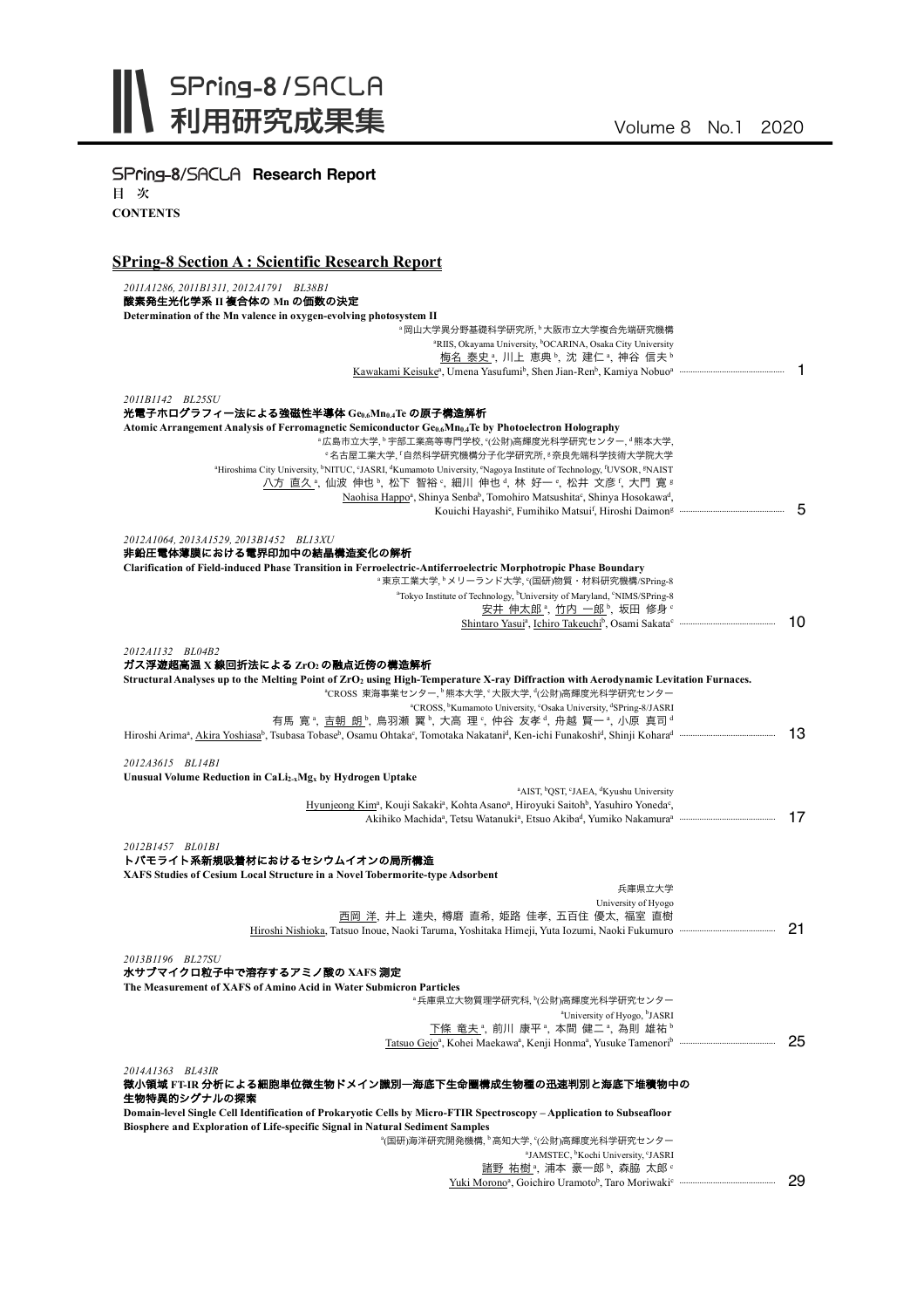

| SPring-8/SACLA Research Report                                                                                                                                                                                                                                                                                                                                                                                                                                 |    |
|----------------------------------------------------------------------------------------------------------------------------------------------------------------------------------------------------------------------------------------------------------------------------------------------------------------------------------------------------------------------------------------------------------------------------------------------------------------|----|
| 目次                                                                                                                                                                                                                                                                                                                                                                                                                                                             |    |
| <b>CONTENTS</b>                                                                                                                                                                                                                                                                                                                                                                                                                                                |    |
|                                                                                                                                                                                                                                                                                                                                                                                                                                                                |    |
| <b>SPring-8 Section A: Scientific Research Report</b>                                                                                                                                                                                                                                                                                                                                                                                                          |    |
| 2011A1286, 2011B1311, 2012A1791 BL38B1                                                                                                                                                                                                                                                                                                                                                                                                                         |    |
| 酸素発生光化学系 II 複合体の Mn の価数の決定                                                                                                                                                                                                                                                                                                                                                                                                                                     |    |
| Determination of the Mn valence in oxygen-evolving photosystem II                                                                                                                                                                                                                                                                                                                                                                                              |    |
| <sup>。</sup> 岡山大学異分野基礎科学研究所、 <sup>b</sup> 大阪市立大学複合先端研究機構<br><sup>a</sup> RIIS, Okayama University, <sup>b</sup> OCARINA, Osaka City University                                                                                                                                                                                                                                                                                                                 |    |
| 梅名 泰史 <sup>。</sup> , 川上 恵典 b, 沈 建仁 a, 神谷 信夫 b                                                                                                                                                                                                                                                                                                                                                                                                                  |    |
|                                                                                                                                                                                                                                                                                                                                                                                                                                                                |    |
| 2011B1142 BL25SU                                                                                                                                                                                                                                                                                                                                                                                                                                               |    |
| 光電子ホログラフィー法による強磁性半導体 Geo.6Mno.4Te の原子構造解析                                                                                                                                                                                                                                                                                                                                                                                                                      |    |
| Atomic Arrangement Analysis of Ferromagnetic Semiconductor Ge <sub>0.6</sub> Mn <sub>0.4</sub> Te by Photoelectron Holography                                                                                                                                                                                                                                                                                                                                  |    |
| <sup>。</sup> 広島市立大学, 『宇部工業高等専門学校, °(公財)高輝度光科学研究センター, <sup>d</sup> 熊本大学,<br>·名古屋工業大学, 「自然科学研究機構分子化学研究所, ®奈良先端科学技術大学院大学                                                                                                                                                                                                                                                                                                                                          |    |
| <sup>a</sup> Hiroshima City University, <sup>b</sup> NITUC, <sup>c</sup> JASRI, <sup>d</sup> Kumamoto University, <sup>e</sup> Nagoya Institute of Technology, <sup>f</sup> UVSOR, <sup>g</sup> NAIST                                                                                                                                                                                                                                                          |    |
| 八方 直久 <sup>a</sup> , 仙波 伸也 <sup>b</sup> , 松下 智裕 <sup>c</sup> , 細川 伸也 <sup>d</sup> , 林 好一 <sup>e</sup> , 松井 文彦 <sup>f</sup> , 大門 寛 <sup>g</sup>                                                                                                                                                                                                                                                                                                                 |    |
| Naohisa Happo <sup>a</sup> , Shinya Senba <sup>b</sup> , Tomohiro Matsushita <sup>c</sup> , Shinya Hosokawa <sup>d</sup> ,                                                                                                                                                                                                                                                                                                                                     | 5  |
|                                                                                                                                                                                                                                                                                                                                                                                                                                                                |    |
| 2012A1064, 2013A1529, 2013B1452 BL13XU                                                                                                                                                                                                                                                                                                                                                                                                                         |    |
| 非鉛圧電体薄膜における電界印加中の結晶構造変化の解析                                                                                                                                                                                                                                                                                                                                                                                                                                     |    |
| Clarification of Field-induced Phase Transition in Ferroelectric-Antiferroelectric Morphotropic Phase Boundary<br><sup>a</sup> 東京工業大学, メリーランド大学, °(国研)物質·材料研究機構/SPring-8                                                                                                                                                                                                                                                                                       |    |
| <sup>a</sup> Tokyo Institute of Technology, <sup>b</sup> University of Maryland, <sup>c</sup> NIMS/SPring-8                                                                                                                                                                                                                                                                                                                                                    |    |
| 安井 伸太郎 ª, 竹内 一郎 ʰ, 坂田 修身 º                                                                                                                                                                                                                                                                                                                                                                                                                                     |    |
|                                                                                                                                                                                                                                                                                                                                                                                                                                                                | 10 |
| 2012A1132 BL04B2<br>ガス浮遊超高温 X 線回折法による ZrO2の融点近傍の構造解析<br>Structural Analyses up to the Melting Point of ZrO <sub>2</sub> using High-Temperature X-ray Diffraction with Aerodynamic Levitation Furnaces.<br><sup>a</sup> CROSS 東海事業センター, <sup>b</sup> 熊本大学, °大阪大学, <sup>d</sup> (公財)高輝度光科学研究センター<br><sup>a</sup> CROSS, <sup>b</sup> Kumamoto University, °Osaka University, <sup>d</sup> SPring-8/JASRI<br>有馬 寛 , 吉朝 朗 , 鳥羽瀬 翼 , 大高 理 , 仲谷 友孝 , 舟越 賢一 , 小原 真司 ! |    |
|                                                                                                                                                                                                                                                                                                                                                                                                                                                                | 13 |
| 2012A3615 BL14B1                                                                                                                                                                                                                                                                                                                                                                                                                                               |    |
| Unusual Volume Reduction in CaLi <sub>2-x</sub> Mg <sub>x</sub> by Hydrogen Uptake                                                                                                                                                                                                                                                                                                                                                                             |    |
| <sup>a</sup> AIST, <sup>b</sup> QST, <sup>c</sup> JAEA, <sup>d</sup> Kyushu University                                                                                                                                                                                                                                                                                                                                                                         |    |
| Hyunjeong Kim <sup>a</sup> , Kouji Sakaki <sup>a</sup> , Kohta Asano <sup>a</sup> , Hiroyuki Saitoh <sup>b</sup> , Yasuhiro Yoneda <sup>c</sup> ,                                                                                                                                                                                                                                                                                                              | 17 |
|                                                                                                                                                                                                                                                                                                                                                                                                                                                                |    |
| 2012B1457 BL01B1                                                                                                                                                                                                                                                                                                                                                                                                                                               |    |
| トバモライト系新規吸着材におけるセシウムイオンの局所構造                                                                                                                                                                                                                                                                                                                                                                                                                                   |    |
| XAFS Studies of Cesium Local Structure in a Novel Tobermorite-type Adsorbent<br>兵庫県立大学                                                                                                                                                                                                                                                                                                                                                                         |    |
| University of Hyogo                                                                                                                                                                                                                                                                                                                                                                                                                                            |    |
| 西岡 洋、井上 達央、樽磨 直希、姫路 佳孝、五百住 優太、福室 直樹<br>Hiroshi Nishioka, Tatsuo Inoue, Naoki Taruma, Yoshitaka Himeji, Yuta Iozumi, Naoki Fukumuro                                                                                                                                                                                                                                                                                                                             | 21 |
| 2013B1196 BL27SU                                                                                                                                                                                                                                                                                                                                                                                                                                               |    |
| 水サブマイクロ粒子中で溶存するアミノ酸の XAFS 測定                                                                                                                                                                                                                                                                                                                                                                                                                                   |    |
| The Measurement of XAFS of Amino Acid in Water Submicron Particles                                                                                                                                                                                                                                                                                                                                                                                             |    |
| "兵庫県立大物質理学研究科, <sup>\</sup> (公財)高輝度光科学研究センター<br><sup>a</sup> University of Hyogo, <sup>b</sup> JASRI                                                                                                                                                                                                                                                                                                                                                           |    |
| 下條 竜夫 ª, 前川 康平 ª, 本間 健二 ª, 為則 雄祐 b                                                                                                                                                                                                                                                                                                                                                                                                                             |    |
|                                                                                                                                                                                                                                                                                                                                                                                                                                                                | 25 |
|                                                                                                                                                                                                                                                                                                                                                                                                                                                                |    |
| 2014A1363 BL43IR<br>微小領域 FT-IR 分析による細胞単位微生物ドメイン識別一海底下生命圏構成生物種の迅速判別と海底下堆積物中の<br>生物特異的シグナルの探索                                                                                                                                                                                                                                                                                                                                                                    |    |
| Domain-level Single Cell Identification of Prokaryotic Cells by Micro-FTIR Spectroscopy - Application to Subseafloor                                                                                                                                                                                                                                                                                                                                           |    |
| <b>Biosphere and Exploration of Life-specific Signal in Natural Sediment Samples</b>                                                                                                                                                                                                                                                                                                                                                                           |    |
| ª(国研)海洋研究開発機構, ʰ高知大学, °(公財)高輝度光科学研究センター<br><sup>a</sup> JAMSTEC, <sup>b</sup> Kochi University, <sup>c</sup> JASRI                                                                                                                                                                                                                                                                                                                                             |    |
| 諸野 祐樹 ª、浦本 豪一郎 b、森脇 太郎 。                                                                                                                                                                                                                                                                                                                                                                                                                                       |    |
|                                                                                                                                                                                                                                                                                                                                                                                                                                                                | 29 |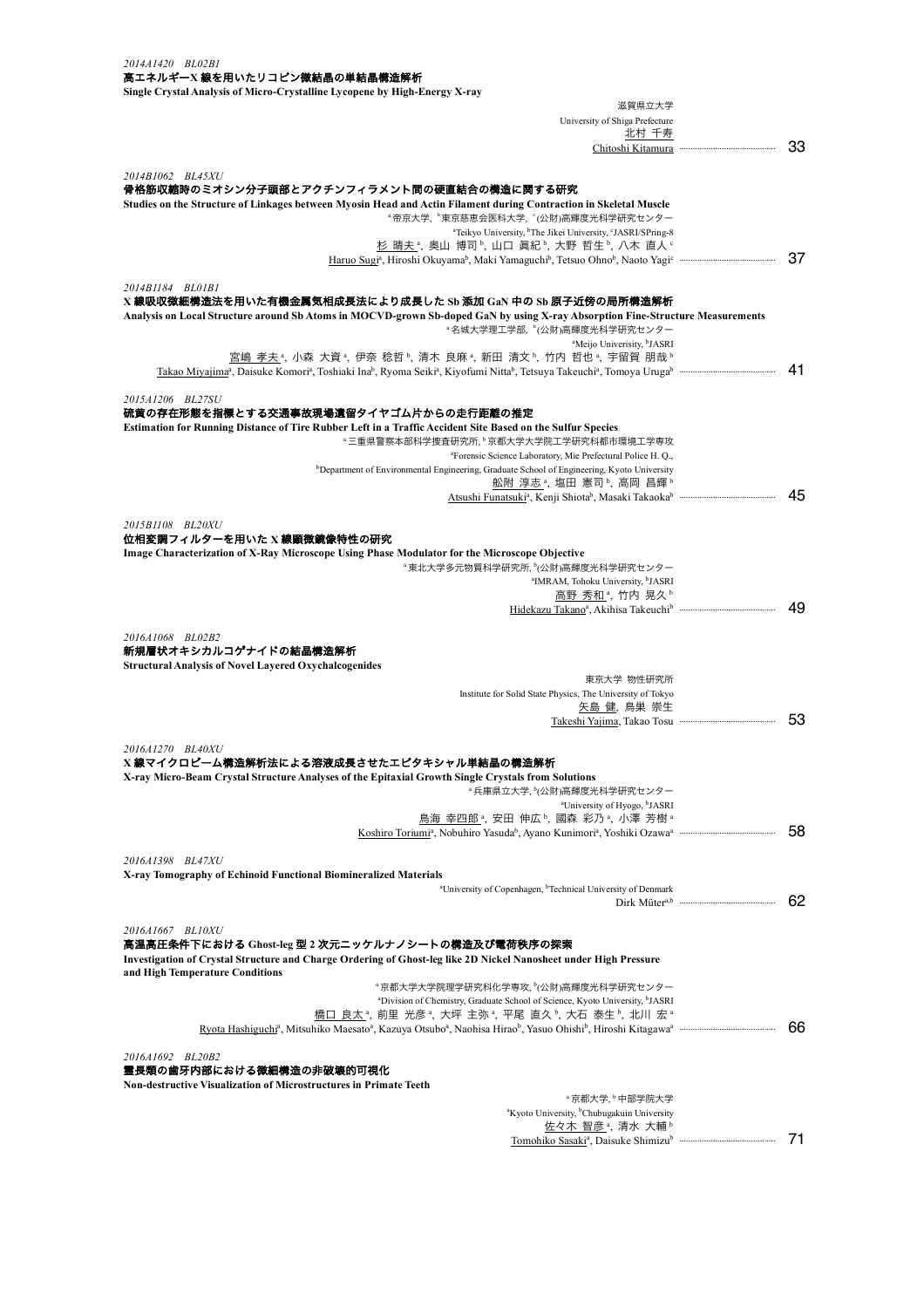| 2014A1420 BL02B1                                                                                                                                                                      |    |
|---------------------------------------------------------------------------------------------------------------------------------------------------------------------------------------|----|
| 高エネルギーX線を用いたリコピン微結晶の単結晶構造解析                                                                                                                                                           |    |
| Single Crystal Analysis of Micro-Crystalline Lycopene by High-Energy X-ray                                                                                                            |    |
| 滋賀県立大学                                                                                                                                                                                |    |
| University of Shiga Prefecture<br>北村 千寿                                                                                                                                               |    |
| Chitoshi Kitamura ····                                                                                                                                                                | 33 |
|                                                                                                                                                                                       |    |
| 2014B1062 BL45XU<br>骨格筋収縮時のミオシン分子頭部とアクチンフィラメント間の硬直結合の構造に関する研究                                                                                                                         |    |
| Studies on the Structure of Linkages between Myosin Head and Actin Filament during Contraction in Skeletal Muscle                                                                     |    |
| <sup>。</sup> 帝京大学, 『東京慈恵会医科大学, 『(公財)高輝度光科学研究センター                                                                                                                                      |    |
| <sup>a</sup> Teikyo University, <sup>b</sup> The Jikei University, <sup>c</sup> JASRI/SPring-8                                                                                        |    |
| 杉 晴夫 ª, 奥山 博司 ʰ, 山口 眞紀 ʰ, 大野 哲生 ʰ, 八木 直人 º                                                                                                                                            | 37 |
|                                                                                                                                                                                       |    |
| 2014B1184 BL01B1                                                                                                                                                                      |    |
| X線吸収微細構造法を用いた有機金属気相成長法により成長した Sb 添加 GaN 中の Sb 原子近傍の局所構造解析                                                                                                                             |    |
| Analysis on Local Structure around Sb Atoms in MOCVD-grown Sb-doped GaN by using X-ray Absorption Fine-Structure Measurements<br><sup>a</sup> 名城大学理工学部、 <sup>b</sup> (公財)高輝度光科学研究センター |    |
| <sup>a</sup> Meijo Univerisity, <sup>b</sup> JASRI                                                                                                                                    |    |
| 宮嶋 孝夫 ª, 小森 大資 ª, 伊奈 稔哲 ʰ, 清木 良麻 ª, 新田 清文 ʰ, 竹内 哲也 ª, 宇留賀 朋哉 ʰ                                                                                                                        |    |
|                                                                                                                                                                                       | 41 |
| 2015A1206 BL27SU                                                                                                                                                                      |    |
| 硫黄の存在形態を指標とする交通事故現場遺留タイヤゴム片からの走行距離の推定                                                                                                                                                 |    |
| Estimation for Running Distance of Tire Rubber Left in a Traffic Accident Site Based on the Sulfur Species                                                                            |    |
| "三重県警察本部科学捜査研究所, <sup>b</sup> 京都大学大学院工学研究科都市環境工学専攻<br><sup>a</sup> Forensic Science Laboratory, Mie Prefectural Police H. Q.,                                                         |    |
| <sup>b</sup> Department of Environmental Engineering, Graduate School of Engineering, Kyoto University                                                                                |    |
| <u>舩附 淳志</u> ª, 塩田 憲司 ʰ, 高岡 昌輝 ʰ                                                                                                                                                      |    |
|                                                                                                                                                                                       | 45 |
| 2015B1108 BL20XU                                                                                                                                                                      |    |
| 位相変調フィルターを用いた X 線顕微鏡像特性の研究                                                                                                                                                            |    |
| Image Characterization of X-Ray Microscope Using Phase Modulator for the Microscope Objective                                                                                         |    |
| <sup>。</sup> 東北大学多元物質科学研究所, <sup>b</sup> (公財)高輝度光科学研究センター                                                                                                                             |    |
| <sup>a</sup> IMRAM, Tohoku University, <sup>b</sup> JASRI<br>高野 秀和 ª, 竹内 晃久 ʰ                                                                                                         |    |
|                                                                                                                                                                                       | 49 |
|                                                                                                                                                                                       |    |
| 2016A1068 BL02B2<br>新規層状オキシカルコゲナイドの結晶構造解析                                                                                                                                             |    |
| <b>Structural Analysis of Novel Layered Oxychalcogenides</b>                                                                                                                          |    |
| 東京大学 物性研究所                                                                                                                                                                            |    |
| Institute for Solid State Physics, The University of Tokyo                                                                                                                            |    |
| 矢島 健、鳥巣 崇生                                                                                                                                                                            | 53 |
|                                                                                                                                                                                       |    |
| 2016A1270 BL40XU                                                                                                                                                                      |    |
| X 線マイクロピーム構造解析法による溶液成長させたエピタキシャル単結晶の構造解析                                                                                                                                              |    |
| X-ray Micro-Beam Crystal Structure Analyses of the Epitaxial Growth Single Crystals from Solutions<br><sup></sup> 4 兵庫県立大学, ʰ(公財)高輝度光科学研究センター                                         |    |
| <sup>a</sup> University of Hyogo, <sup>b</sup> JASRI                                                                                                                                  |    |
| 鳥海 幸四郎。, 安田 伸広り, 國森 彩乃。, 小澤 芳樹。                                                                                                                                                       |    |
|                                                                                                                                                                                       | 58 |
| 2016A1398 BL47XU                                                                                                                                                                      |    |
| X-ray Tomography of Echinoid Functional Biomineralized Materials                                                                                                                      |    |
| <sup>a</sup> University of Copenhagen, <sup>b</sup> Technical University of Denmark                                                                                                   |    |
|                                                                                                                                                                                       | 62 |
| 2016A1667 BL10XU                                                                                                                                                                      |    |
| 高温高圧条件下における Ghost-leg 型 2 次元ニッケルナノシートの構造及び電荷秩序の探索                                                                                                                                     |    |
| Investigation of Crystal Structure and Charge Ordering of Ghost-leg like 2D Nickel Nanosheet under High Pressure                                                                      |    |
| and High Temperature Conditions                                                                                                                                                       |    |
| ª京都大学大学院理学研究科化学専攻, ʰ(公財)高輝度光科学研究センター<br><sup>a</sup> Division of Chemistry, Graduate School of Science, Kyoto University, <sup>b</sup> JASRI                                          |    |
| 橋口 良太 ª, 前里 光彦 ª, 大坪 主弥 ª, 平尾 直久 ʰ, 大石 泰生 ʰ, 北川 宏 ª                                                                                                                                   |    |
|                                                                                                                                                                                       | 66 |
|                                                                                                                                                                                       |    |
| 2016A1692 BL20B2<br>霊長類の歯牙内部における微細構造の非破壊的可視化                                                                                                                                          |    |
| <b>Non-destructive Visualization of Microstructures in Primate Teeth</b>                                                                                                              |    |
| <sup>。</sup> 京都大学、 <sup>。</sup> 中部学院大学                                                                                                                                                |    |
| <sup>a</sup> Kyoto University, <sup>b</sup> Chubugakuin University                                                                                                                    |    |
| 佐々木 智彦 <sup>a</sup> , 清水 大輔b                                                                                                                                                          | 71 |
|                                                                                                                                                                                       |    |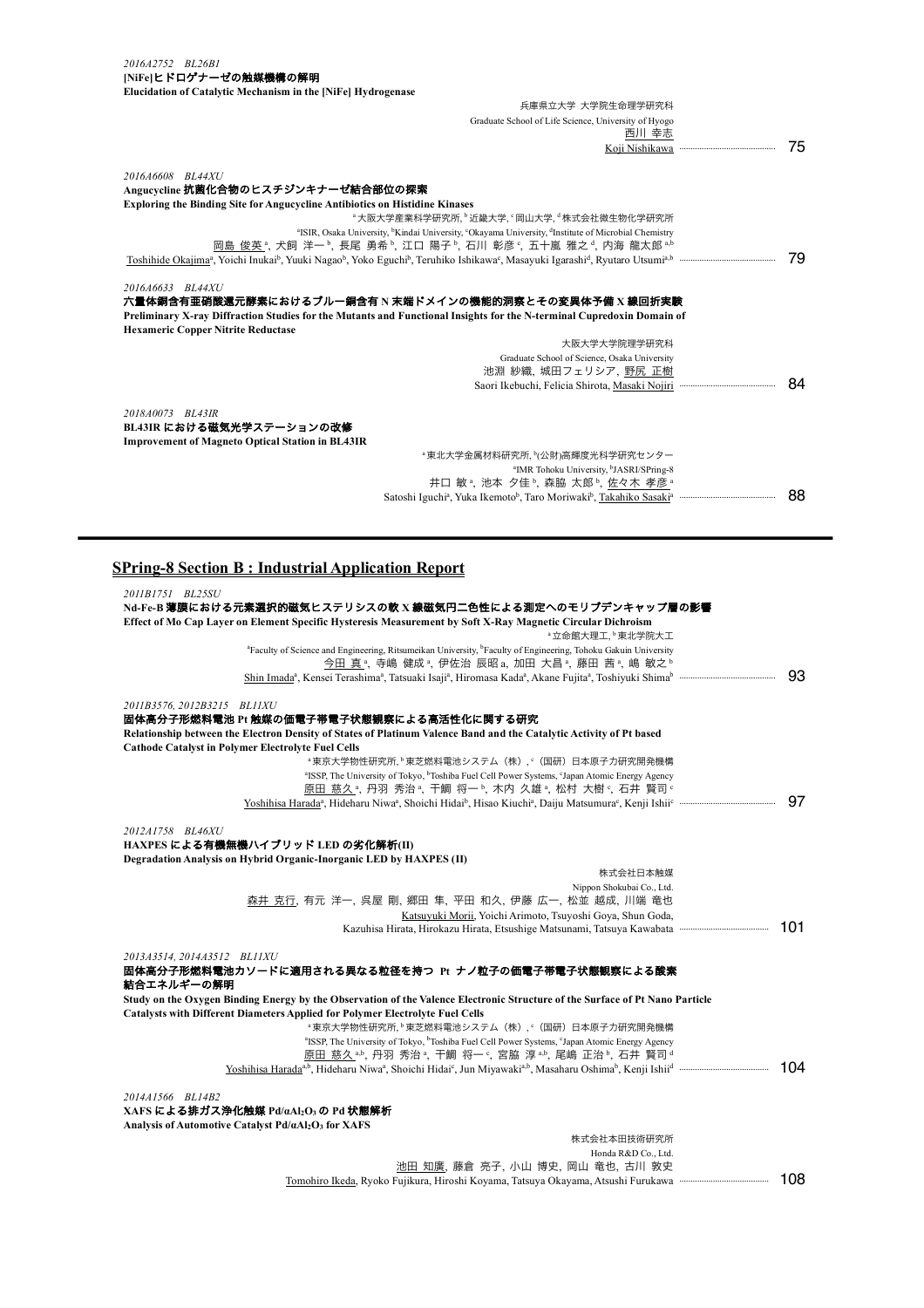| 2016A2752 BL26B1<br>[NiFe]ヒドロゲナーゼの触媒機構の解明                                                               |                                                                                                                                                                                 |    |
|---------------------------------------------------------------------------------------------------------|---------------------------------------------------------------------------------------------------------------------------------------------------------------------------------|----|
| Elucidation of Catalytic Mechanism in the [NiFe] Hydrogenase                                            |                                                                                                                                                                                 |    |
|                                                                                                         | 兵庫県立大学 大学院生命理学研究科                                                                                                                                                               |    |
|                                                                                                         | Graduate School of Life Science, University of Hyogo                                                                                                                            |    |
|                                                                                                         | 西川 幸志                                                                                                                                                                           |    |
|                                                                                                         |                                                                                                                                                                                 | 75 |
| 2016A6608 BL44XU                                                                                        |                                                                                                                                                                                 |    |
| Angucycline 抗菌化合物のヒスチジンキナーゼ結合部位の探索                                                                      |                                                                                                                                                                                 |    |
| <b>Exploring the Binding Site for Angueveline Antibiotics on Histidine Kinases</b>                      | <sup>。</sup> 大阪大学産業科学研究所、 <sup>b</sup> 近畿大学、岡山大学、 株式会社微生物化学研究所                                                                                                                  |    |
|                                                                                                         | <sup>a</sup> ISIR, Osaka University, <sup>b</sup> Kindai University, <sup>c</sup> Okayama University, <sup>d</sup> Institute of Microbial Chemistry                             |    |
|                                                                                                         | 岡島 俊英 ª, 犬飼 洋一 ʰ, 長尾 勇希 ʰ, 江口 陽子 ʰ, 石川 彰彦 º, 五十嵐 雅之 ª, 内海 龍太郎 ª.ʰ                                                                                                               |    |
|                                                                                                         |                                                                                                                                                                                 | 79 |
| 2016A6633 BL44XU<br><b>Hexameric Copper Nitrite Reductase</b>                                           | 六量体銅含有亜硝酸還元酵素におけるブルー銅含有 N 末端ドメインの機能的洞察とその変異体予備 X 線回折実験<br>Preliminary X-ray Diffraction Studies for the Mutants and Functional Insights for the N-terminal Cupredoxin Domain of |    |
|                                                                                                         | 大阪大学大学院理学研究科                                                                                                                                                                    |    |
|                                                                                                         | Graduate School of Science, Osaka University                                                                                                                                    |    |
|                                                                                                         | 池淵 紗織、城田フェリシア、野尻 正樹                                                                                                                                                             |    |
|                                                                                                         |                                                                                                                                                                                 | 84 |
| 2018A0073 BL43IR<br>BL43IR における磁気光学ステーションの改修<br><b>Improvement of Magneto Optical Station in BL43IR</b> |                                                                                                                                                                                 |    |
|                                                                                                         | "東北大学金属材料研究所、『公財)高輝度光科学研究センター                                                                                                                                                   |    |
|                                                                                                         | <sup>a</sup> IMR Tohoku University, <sup>b</sup> JASRI/SPring-8                                                                                                                 |    |
|                                                                                                         | 井口 敏 <sup>。</sup> 、池本 夕佳b、森脇 太郎b、佐々木 孝彦a                                                                                                                                        |    |
|                                                                                                         |                                                                                                                                                                                 | 88 |

## **SPring-8 Section B : Industrial Application Report**

| 2011B1751 BL25SU                                                                                                                                                                                       |
|--------------------------------------------------------------------------------------------------------------------------------------------------------------------------------------------------------|
| Nd-Fe-B 薄膜における元素選択的磁気ヒステリシスの軟 X 線磁気円二色性による測定へのモリブデンキャップ層の影響                                                                                                                                            |
| Effect of Mo Cap Layer on Element Specific Hysteresis Measurement by Soft X-Ray Magnetic Circular Dichroism                                                                                            |
| <sup>。</sup> 立命館大理工、 <sup>。</sup> 東北学院大工                                                                                                                                                               |
| <sup>a</sup> Faculty of Science and Engineering, Ritsumeikan University, <sup>b</sup> Faculty of Engineering, Tohoku Gakuin University                                                                 |
| 今田 真 ª, 寺嶋 健成 ª, 伊佐治 辰昭 a, 加田 大昌 ª, 藤田 茜 ª, 嶋 敏之 ʰ                                                                                                                                                     |
| 93<br>Shin Imada <sup>a</sup> , Kensei Terashima <sup>a</sup> , Tatsuaki Isaji <sup>a</sup> , Hiromasa Kada <sup>a</sup> , Akane Fujita <sup>a</sup> , Toshiyuki Shima <sup>b</sup> mammammammammammam |
|                                                                                                                                                                                                        |
| 2011B3576, 2012B3215 BL11XU                                                                                                                                                                            |
| 固体高分子形燃料電池 Pt 触媒の価電子帯電子状態観察による高活性化に関する研究                                                                                                                                                               |
| Relationship between the Electron Density of States of Platinum Valence Band and the Catalytic Activity of Pt based                                                                                    |
| <b>Cathode Catalyst in Polymer Electrolyte Fuel Cells</b>                                                                                                                                              |
| <sup>。</sup> 東京大学物性研究所、 <sup>b</sup> 東芝燃料電池システム (株), C (国研) 日本原子力研究開発機構                                                                                                                                |
| <sup>a</sup> ISSP, The University of Tokyo, <sup>b</sup> Toshiba Fuel Cell Power Systems, <sup>c</sup> Japan Atomic Energy Agency                                                                      |
| <u>原田 慈久 ª,</u> 丹羽 秀治 ª, 干鯛 将一 ʰ, 木内 久雄 ª, 松村 大樹 º, 石井 賢司 º                                                                                                                                            |
| 97                                                                                                                                                                                                     |
|                                                                                                                                                                                                        |
| 2012A1758 BL46XU                                                                                                                                                                                       |
| HAXPES による有機無機ハイブリッド LED の劣化解析(II)                                                                                                                                                                     |
| Degradation Analysis on Hybrid Organic-Inorganic LED by HAXPES (II)                                                                                                                                    |
| 株式会社日本触媒                                                                                                                                                                                               |
|                                                                                                                                                                                                        |
| Nippon Shokubai Co., Ltd.<br>森井 克行、有元 洋一, 呉屋 剛, 郷田 隼, 平田 和久, 伊藤 広一, 松並 越成, 川端 竜也                                                                                                                       |
| Katsuyuki Morii, Yoichi Arimoto, Tsuyoshi Goya, Shun Goda,                                                                                                                                             |
| 101<br>Kazuhisa Hirata, Hirokazu Hirata, Etsushige Matsunami, Tatsuya Kawabata                                                                                                                         |
|                                                                                                                                                                                                        |
| 2013A3514, 2014A3512 BLIIXU                                                                                                                                                                            |
| 固体高分子形燃料電池カソードに適用される異なる粒径を持つ Pt ナノ粒子の価電子帯電子状態観察による酸素                                                                                                                                                   |
| 結合エネルギーの解明                                                                                                                                                                                             |
|                                                                                                                                                                                                        |
| Study on the Oxygen Binding Energy by the Observation of the Valence Electronic Structure of the Surface of Pt Nano Particle                                                                           |
| <b>Catalysts with Different Diameters Applied for Polymer Electrolyte Fuel Cells</b>                                                                                                                   |
| <sup>。</sup> 東京大学物性研究所、 <sup>6</sup> 東芝燃料電池システム(株)、 <sup>c</sup> (国研)日本原子力研究開発機構                                                                                                                       |
| <sup>a</sup> ISSP, The University of Tokyo, <sup>b</sup> Toshiba Fuel Cell Power Systems, <sup>c</sup> Japan Atomic Energy Agency                                                                      |
| 原田 慈久 ホト, 丹羽 秀治 ª, 干鯛 将一 º, 宮脇 淳 ªト, 尾嶋 正治 ʰ, 石井 賢司 ª                                                                                                                                                  |
| 104                                                                                                                                                                                                    |
|                                                                                                                                                                                                        |
| 2014A1566 BL14B2                                                                                                                                                                                       |
| XAFS による排ガス浄化触媒 Pd/αAl2O3 の Pd 状態解析                                                                                                                                                                    |
| Analysis of Automotive Catalyst Pd/aAl2O3 for XAFS                                                                                                                                                     |
| 株式会社本田技術研究所                                                                                                                                                                                            |
| Honda R&D Co., Ltd.                                                                                                                                                                                    |
| 池田 知廣、藤倉 亮子、小山 博史、岡山 竜也、古川 敦史                                                                                                                                                                          |
| 108<br>Tomohiro Ikeda, Ryoko Fujikura, Hiroshi Koyama, Tatsuya Okayama, Atsushi Furukawa                                                                                                               |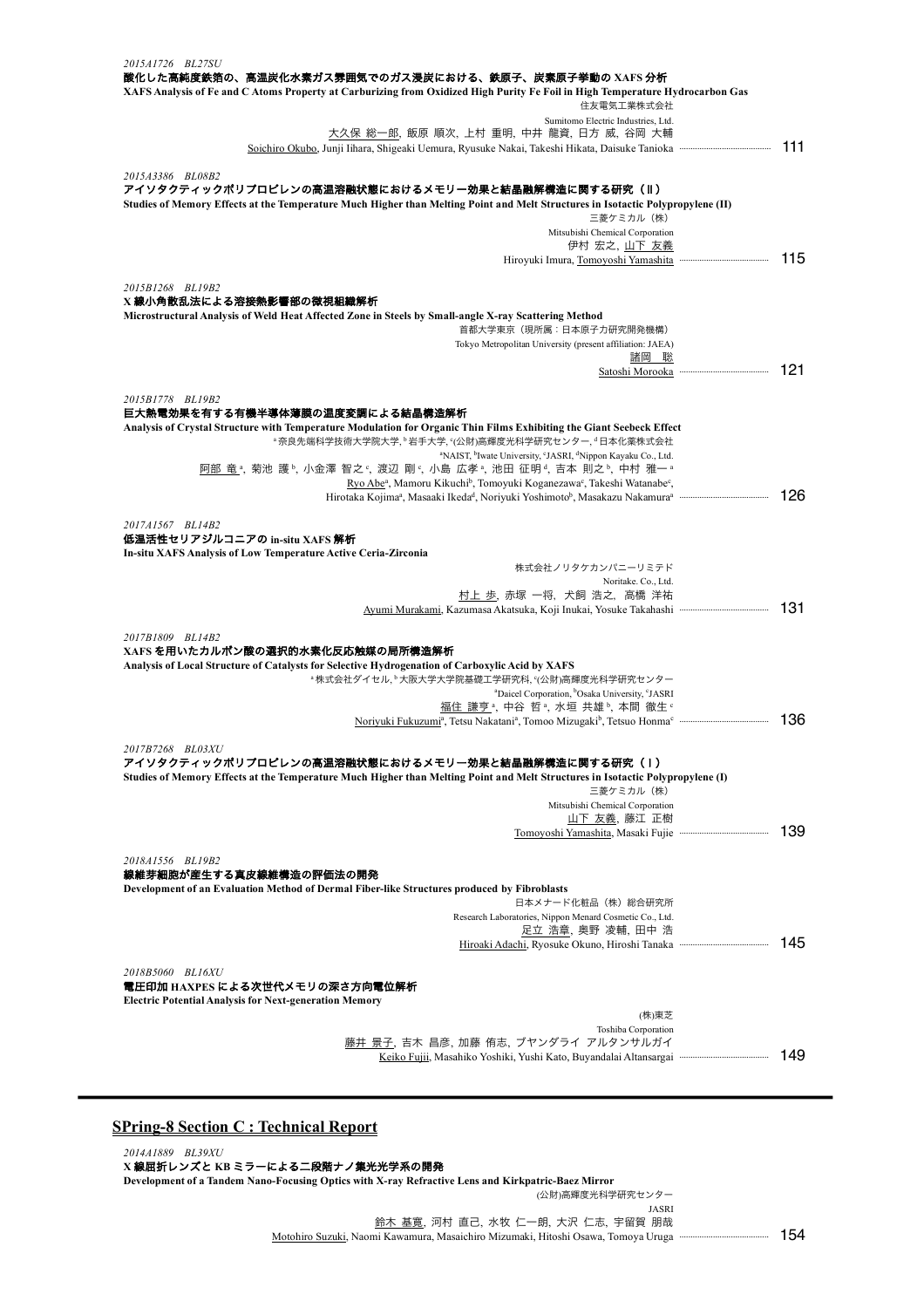| 2015A1726 BL27SU<br>酸化した高純度鉄箔の、高温炭化水素ガス雰囲気でのガス浸炭における、鉄原子、炭素原子挙動の XAFS 分析                                                                                                                                        |      |
|-----------------------------------------------------------------------------------------------------------------------------------------------------------------------------------------------------------------|------|
| XAFS Analysis of Fe and C Atoms Property at Carburizing from Oxidized High Purity Fe Foil in High Temperature Hydrocarbon Gas<br>住友電気工業株式会社                                                                     |      |
| Sumitomo Electric Industries, Ltd.<br>大久保 総一郎, 飯原 順次, 上村 重明, 中井 龍資, 日方 威, 谷岡 大輔                                                                                                                                 |      |
| Soichiro Okubo, Junji Iihara, Shigeaki Uemura, Ryusuke Nakai, Takeshi Hikata, Daisuke Tanioka                                                                                                                   | 111  |
|                                                                                                                                                                                                                 |      |
| 2015A3386 BL08B2<br>アイソタクティックポリプロピレンの高温溶融状態におけるメモリー効果と結晶融解構造に関する研究 (II)                                                                                                                                         |      |
| Studies of Memory Effects at the Temperature Much Higher than Melting Point and Melt Structures in Isotactic Polypropylene (II)<br>三菱ケミカル (株)                                                                   |      |
| Mitsubishi Chemical Corporation                                                                                                                                                                                 |      |
| 伊村 宏之、山下 友義                                                                                                                                                                                                     | 115  |
| 2015B1268 BL19B2                                                                                                                                                                                                |      |
| X線小角散乱法による溶接熱影響部の微視組織解析                                                                                                                                                                                         |      |
| Microstructural Analysis of Weld Heat Affected Zone in Steels by Small-angle X-ray Scattering Method<br>首都大学東京(現所属:日本原子力研究開発機構)                                                                                 |      |
| Tokyo Metropolitan University (present affiliation: JAEA)                                                                                                                                                       |      |
| 諸岡の聡                                                                                                                                                                                                            |      |
|                                                                                                                                                                                                                 | 121  |
| 2015B1778 BL19B2                                                                                                                                                                                                |      |
| 巨大熱電効果を有する有機半導体薄膜の温度変調による結晶構造解析                                                                                                                                                                                 |      |
| Analysis of Crystal Structure with Temperature Modulation for Organic Thin Films Exhibiting the Giant Seebeck Effect<br><sup>。</sup> 奈良先端科学技術大学院大学, <sup>6</sup> 岩手大学, °(公財)高輝度光科学研究センター, <sup>d</sup> 日本化薬株式会社 |      |
| <sup>a</sup> NAIST, <sup>b</sup> Iwate University, <sup>c</sup> JASRI, <sup>d</sup> Nippon Kayaku Co., Ltd.                                                                                                     |      |
| <u>阿部 竜。</u> ,菊池 護。,小金澤 智之。,渡辺 剛。,小島 広孝。,池田 征明。,吉本 則之。,中村 雅一。                                                                                                                                                   |      |
| Ryo Abe <sup>a</sup> , Mamoru Kikuchi <sup>b</sup> , Tomoyuki Koganezawa <sup>c</sup> , Takeshi Watanabe <sup>c</sup> ,                                                                                         | 126  |
|                                                                                                                                                                                                                 |      |
| 2017A1567 BL14B2                                                                                                                                                                                                |      |
| 低温活性セリアジルコニアの in-situ XAFS 解析<br>In-situ XAFS Analysis of Low Temperature Active Ceria-Zirconia                                                                                                                 |      |
| 株式会社ノリタケカンパニーリミテド                                                                                                                                                                                               |      |
| Noritake. Co., Ltd.                                                                                                                                                                                             |      |
| 村上 歩, 赤塚 一将, 犬飼 浩之, 高橋 洋祐                                                                                                                                                                                       | -131 |
|                                                                                                                                                                                                                 |      |
| 2017B1809 BL14B2                                                                                                                                                                                                |      |
| XAFS を用いたカルボン酸の選択的水素化反応触媒の局所構造解析<br>Analysis of Local Structure of Catalysts for Selective Hydrogenation of Carboxylic Acid by XAFS                                                                             |      |
| "株式会社ダイセル, "大阪大学大学院基礎工学研究科, "(公財)高輝度光科学研究センター                                                                                                                                                                   |      |
| <sup>a</sup> Daicel Corporation, <sup>b</sup> Osaka University, <sup>c</sup> JASRI                                                                                                                              |      |
| 福住 謙亨 <sup>a</sup> , 中谷 哲 <sup>a</sup> , 水垣 共雄b, 本間 徹生。                                                                                                                                                         |      |
|                                                                                                                                                                                                                 | 136  |
| 2017B7268 BL03XU                                                                                                                                                                                                |      |
| アイソタクティックポリプロピレンの高温溶融状態におけるメモリー効果と結晶融解構造に関する研究(Ⅰ)<br>Studies of Memory Effects at the Temperature Much Higher than Melting Point and Melt Structures in Isotactic Polypropylene (I)                             |      |
| 三菱ケミカル(株)                                                                                                                                                                                                       |      |
| Mitsubishi Chemical Corporation                                                                                                                                                                                 |      |
| <u>山下 友義,</u> 藤江 正樹                                                                                                                                                                                             | 139  |
|                                                                                                                                                                                                                 |      |
| 2018A1556 BL19B2                                                                                                                                                                                                |      |
| 線維芽細胞が産生する真皮線維構造の評価法の開発                                                                                                                                                                                         |      |
| Development of an Evaluation Method of Dermal Fiber-like Structures produced by Fibroblasts<br>日本メナード化粧品(株)総合研究所                                                                                                |      |
| Research Laboratories, Nippon Menard Cosmetic Co., Ltd.                                                                                                                                                         |      |
| <u>足立 浩章</u> , 奥野 凌輔, 田中 浩                                                                                                                                                                                      |      |
|                                                                                                                                                                                                                 | 145  |
| 2018B5060 BL16XU                                                                                                                                                                                                |      |
| 電圧印加 HAXPES による次世代メモリの深さ方向電位解析                                                                                                                                                                                  |      |
| <b>Electric Potential Analysis for Next-generation Memory</b><br>(株)東芝                                                                                                                                          |      |
| Toshiba Corporation                                                                                                                                                                                             |      |
| 藤井 景子, 吉木 昌彦, 加藤 侑志, ブヤンダライ アルタンサルガイ                                                                                                                                                                            |      |
|                                                                                                                                                                                                                 | 149  |
|                                                                                                                                                                                                                 |      |
|                                                                                                                                                                                                                 |      |

## **SPring-8 Section C : Technical Report**

*2014A1889 BL39XU* **X** 線屈折レンズと **KB** ミラーによる二段階ナノ集光光学系の開発 **Development of a Tandem Nano-Focusing Optics with X-ray Refractive Lens and Kirkpatric-Baez Mirror** (公財)高輝度光科学研究センター JASRI

鈴木 基寛, 河村 直己, 水牧 仁一朗, 大沢 仁志, 宇留賀 朋哉 Motohiro Suzuki, Naomi Kawamura, Masaichiro Mizumaki, Hitoshi Osawa, Tomoya Uruga ········································ 154